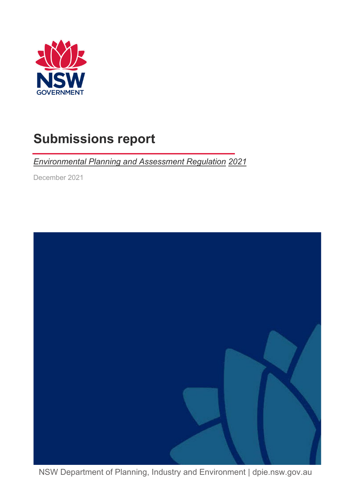

# <span id="page-0-0"></span>**Submissions report**

*Environmental Planning and Assessment Regulation 2021*

December 2021



NSW Department of Planning, Industry and Environment | dpie.nsw.gov.au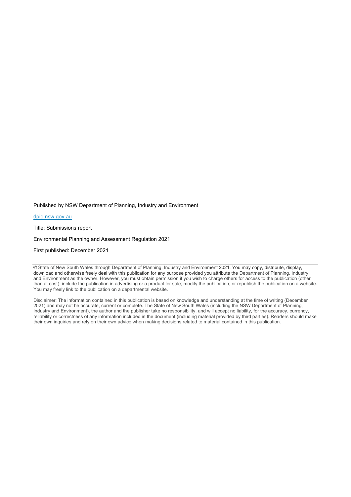Published by NSW Department of Planning, Industry and Environment

[dpie.nsw.gov.au](http://www.dpie.nsw.gov.au/)

Title: Submissions report

Environmental Planning and Assessment Regulation 2021

First published: December 2021

© State of New South Wales through Department of Planning, Industry and Environment 2021. You may copy, distribute, display, download and otherwise freely deal with this publication for any purpose provided you attribute the Department of Planning, Industry and Environment as the owner. However, you must obtain permission if you wish to charge others for access to the publication (other than at cost); include the publication in advertising or a product for sale; modify the publication; or republish the publication on a website. You may freely link to the publication on a departmental website.

Disclaimer: The information contained in this publication is based on knowledge and understanding at the time of writing (December 2021) and may not be accurate, current or complete. The State of New South Wales (including the NSW Department of Planning, Industry and Environment), the author and the publisher take no responsibility, and will accept no liability, for the accuracy, currency, reliability or correctness of any information included in the document (including material provided by third parties). Readers should make their own inquiries and rely on their own advice when making decisions related to material contained in this publication.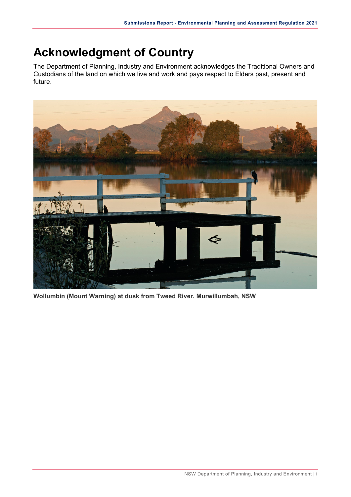# <span id="page-2-0"></span>**Acknowledgment of Country**

The Department of Planning, Industry and Environment acknowledges the Traditional Owners and Custodians of the land on which we live and work and pays respect to Elders past, present and future.



**Wollumbin (Mount Warning) at dusk from Tweed River. Murwillumbah, NSW**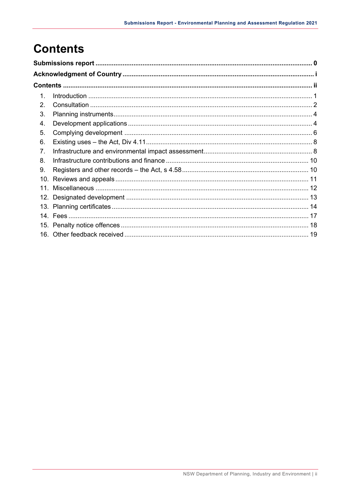# <span id="page-3-0"></span>**Contents**

| 10.<br>11 |  |
|-----------|--|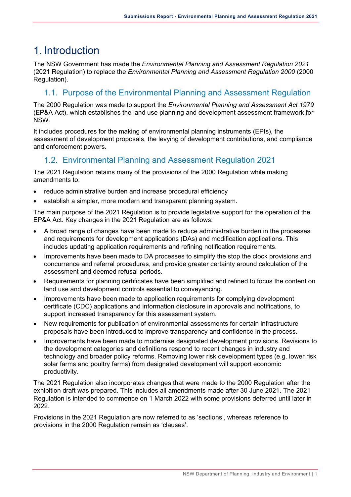## <span id="page-4-0"></span>1. Introduction

The NSW Government has made the *Environmental Planning and Assessment Regulation 2021* (2021 Regulation) to replace the *Environmental Planning and Assessment Regulation 2000* (2000 Regulation).

#### 1.1. Purpose of the Environmental Planning and Assessment Regulation

The 2000 Regulation was made to support the *Environmental Planning and Assessment Act 1979* (EP&A Act), which establishes the land use planning and development assessment framework for NSW.

It includes procedures for the making of environmental planning instruments (EPIs), the assessment of development proposals, the levying of development contributions, and compliance and enforcement powers.

#### 1.2. Environmental Planning and Assessment Regulation 2021

The 2021 Regulation retains many of the provisions of the 2000 Regulation while making amendments to:

- reduce administrative burden and increase procedural efficiency
- establish a simpler, more modern and transparent planning system.

The main purpose of the 2021 Regulation is to provide legislative support for the operation of the EP&A Act. Key changes in the 2021 Regulation are as follows:

- A broad range of changes have been made to reduce administrative burden in the processes and requirements for development applications (DAs) and modification applications. This includes updating application requirements and refining notification requirements.
- Improvements have been made to DA processes to simplify the stop the clock provisions and concurrence and referral procedures, and provide greater certainty around calculation of the assessment and deemed refusal periods.
- Requirements for planning certificates have been simplified and refined to focus the content on land use and development controls essential to conveyancing.
- Improvements have been made to application requirements for complying development certificate (CDC) applications and information disclosure in approvals and notifications, to support increased transparency for this assessment system.
- New requirements for publication of environmental assessments for certain infrastructure proposals have been introduced to improve transparency and confidence in the process.
- Improvements have been made to modernise designated development provisions. Revisions to the development categories and definitions respond to recent changes in industry and technology and broader policy reforms. Removing lower risk development types (e.g. lower risk solar farms and poultry farms) from designated development will support economic productivity.

The 2021 Regulation also incorporates changes that were made to the 2000 Regulation after the exhibition draft was prepared. This includes all amendments made after 30 June 2021. The 2021 Regulation is intended to commence on 1 March 2022 with some provisions deferred until later in 2022.

Provisions in the 2021 Regulation are now referred to as 'sections', whereas reference to provisions in the 2000 Regulation remain as 'clauses'.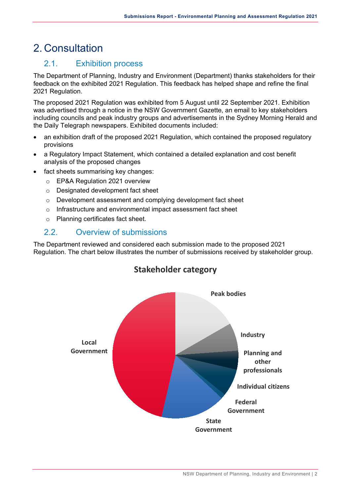# <span id="page-5-0"></span>2. Consultation

#### 2.1. Exhibition process

The Department of Planning, Industry and Environment (Department) thanks stakeholders for their feedback on the exhibited 2021 Regulation. This feedback has helped shape and refine the final 2021 Regulation.

The proposed 2021 Regulation was exhibited from 5 August until 22 September 2021. Exhibition was advertised through a notice in the NSW Government Gazette, an email to key stakeholders including councils and peak industry groups and advertisements in the Sydney Morning Herald and the Daily Telegraph newspapers. Exhibited documents included:

- an exhibition draft of the proposed 2021 Regulation, which contained the proposed regulatory provisions
- a Regulatory Impact Statement, which contained a detailed explanation and cost benefit analysis of the proposed changes
- fact sheets summarising key changes:
	- o EP&A Regulation 2021 overview
	- o Designated development fact sheet
	- o Development assessment and complying development fact sheet
	- o Infrastructure and environmental impact assessment fact sheet
	- o Planning certificates fact sheet.

#### 2.2. Overview of submissions

The Department reviewed and considered each submission made to the proposed 2021 Regulation. The chart below illustrates the number of submissions received by stakeholder group.



#### **Stakeholder category**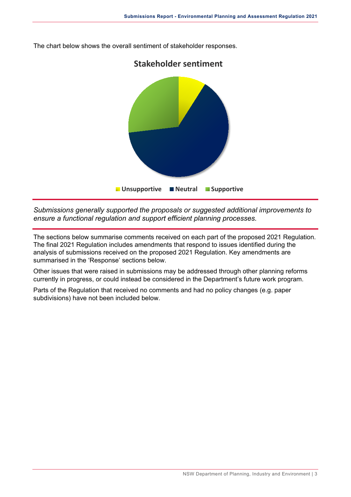

The chart below shows the overall sentiment of stakeholder responses.

*Submissions generally supported the proposals or suggested additional improvements to ensure a functional regulation and support efficient planning processes.*

The sections below summarise comments received on each part of the proposed 2021 Regulation. The final 2021 Regulation includes amendments that respond to issues identified during the analysis of submissions received on the proposed 2021 Regulation. Key amendments are summarised in the 'Response' sections below.

Other issues that were raised in submissions may be addressed through other planning reforms currently in progress, or could instead be considered in the Department's future work program.

Parts of the Regulation that received no comments and had no policy changes (e.g. paper subdivisions) have not been included below.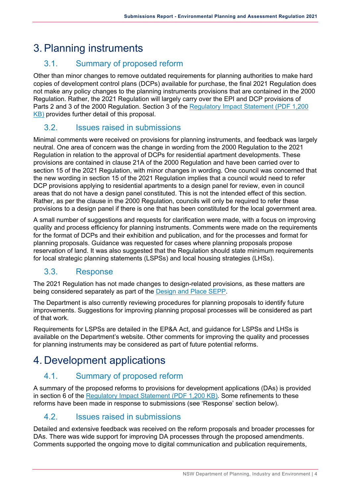# <span id="page-7-0"></span>3.Planning instruments

#### 3.1. Summary of proposed reform

Other than minor changes to remove outdated requirements for planning authorities to make hard copies of development control plans (DCPs) available for purchase, the final 2021 Regulation does not make any policy changes to the planning instruments provisions that are contained in the 2000 Regulation. Rather, the 2021 Regulation will largely carry over the EPI and DCP provisions of Parts 2 and 3 of the 2000 Regulation. Section 3 of the [Regulatory Impact Statement](https://www.planningportal.nsw.gov.au/sites/default/files/documents/2021/EP%26A%202021%20Regulatory%20Impact%20Statement%20(RIS).pdf) (PDF 1,200 [KB\)](https://www.planningportal.nsw.gov.au/sites/default/files/documents/2021/EP%26A%202021%20Regulatory%20Impact%20Statement%20(RIS).pdf) provides further detail of this proposal.

#### 3.2. Issues raised in submissions

Minimal comments were received on provisions for planning instruments, and feedback was largely neutral. One area of concern was the change in wording from the 2000 Regulation to the 2021 Regulation in relation to the approval of DCPs for residential apartment developments. These provisions are contained in clause 21A of the 2000 Regulation and have been carried over to section 15 of the 2021 Regulation, with minor changes in wording. One council was concerned that the new wording in section 15 of the 2021 Regulation implies that a council would need to refer DCP provisions applying to residential apartments to a design panel for review, even in council areas that do not have a design panel constituted. This is not the intended effect of this section. Rather, as per the clause in the 2000 Regulation, councils will only be required to refer these provisions to a design panel if there is one that has been constituted for the local government area.

A small number of suggestions and requests for clarification were made, with a focus on improving quality and process efficiency for planning instruments. Comments were made on the requirements for the format of DCPs and their exhibition and publication, and for the processes and format for planning proposals. Guidance was requested for cases where planning proposals propose reservation of land. It was also suggested that the Regulation should state minimum requirements for local strategic planning statements (LSPSs) and local housing strategies (LHSs).

#### 3.3. Response

The 2021 Regulation has not made changes to design-related provisions, as these matters are being considered separately as part of the [Design and Place SEPP.](https://www.planning.nsw.gov.au/Policy-and-Legislation/State-Environmental-Planning-Policies/Design-and-Place-SEPP)

The Department is also currently reviewing procedures for planning proposals to identify future improvements. Suggestions for improving planning proposal processes will be considered as part of that work.

Requirements for LSPSs are detailed in the EP&A Act, and guidance for LSPSs and LHSs is available on the Department's website. Other comments for improving the quality and processes for planning instruments may be considered as part of future potential reforms.

# <span id="page-7-1"></span>4. Development applications

#### 4.1. Summary of proposed reform

A summary of the proposed reforms to provisions for development applications (DAs) is provided in section 6 of the [Regulatory Impact Statement \(PDF 1,200 KB\).](https://www.planningportal.nsw.gov.au/sites/default/files/documents/2021/EP%26A%202021%20Regulatory%20Impact%20Statement%20(RIS).pdf) Some refinements to these reforms have been made in response to submissions (see 'Response' section below).

#### 4.2. Issues raised in submissions

Detailed and extensive feedback was received on the reform proposals and broader processes for DAs. There was wide support for improving DA processes through the proposed amendments. Comments supported the ongoing move to digital communication and publication requirements,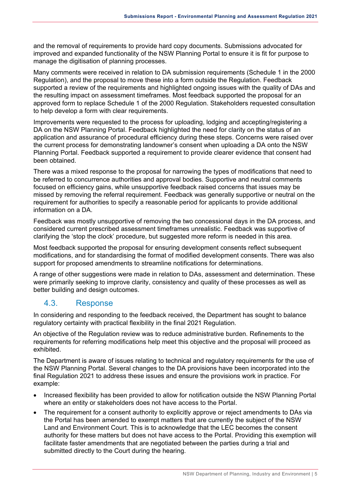and the removal of requirements to provide hard copy documents. Submissions advocated for improved and expanded functionality of the NSW Planning Portal to ensure it is fit for purpose to manage the digitisation of planning processes.

Many comments were received in relation to DA submission requirements (Schedule 1 in the 2000 Regulation), and the proposal to move these into a form outside the Regulation. Feedback supported a review of the requirements and highlighted ongoing issues with the quality of DAs and the resulting impact on assessment timeframes. Most feedback supported the proposal for an approved form to replace Schedule 1 of the 2000 Regulation. Stakeholders requested consultation to help develop a form with clear requirements.

Improvements were requested to the process for uploading, lodging and accepting/registering a DA on the NSW Planning Portal. Feedback highlighted the need for clarity on the status of an application and assurance of procedural efficiency during these steps. Concerns were raised over the current process for demonstrating landowner's consent when uploading a DA onto the NSW Planning Portal. Feedback supported a requirement to provide clearer evidence that consent had been obtained.

There was a mixed response to the proposal for narrowing the types of modifications that need to be referred to concurrence authorities and approval bodies. Supportive and neutral comments focused on efficiency gains, while unsupportive feedback raised concerns that issues may be missed by removing the referral requirement. Feedback was generally supportive or neutral on the requirement for authorities to specify a reasonable period for applicants to provide additional information on a DA.

Feedback was mostly unsupportive of removing the two concessional days in the DA process, and considered current prescribed assessment timeframes unrealistic. Feedback was supportive of clarifying the 'stop the clock' procedure, but suggested more reform is needed in this area.

Most feedback supported the proposal for ensuring development consents reflect subsequent modifications, and for standardising the format of modified development consents. There was also support for proposed amendments to streamline notifications for determinations.

A range of other suggestions were made in relation to DAs, assessment and determination. These were primarily seeking to improve clarity, consistency and quality of these processes as well as better building and design outcomes.

#### 4.3. Response

In considering and responding to the feedback received, the Department has sought to balance regulatory certainty with practical flexibility in the final 2021 Regulation.

An objective of the Regulation review was to reduce administrative burden. Refinements to the requirements for referring modifications help meet this objective and the proposal will proceed as exhibited.

The Department is aware of issues relating to technical and regulatory requirements for the use of the NSW Planning Portal. Several changes to the DA provisions have been incorporated into the final Regulation 2021 to address these issues and ensure the provisions work in practice. For example:

- Increased flexibility has been provided to allow for notification outside the NSW Planning Portal where an entity or stakeholders does not have access to the Portal.
- The requirement for a consent authority to explicitly approve or reject amendments to DAs via the Portal has been amended to exempt matters that are currently the subject of the NSW Land and Environment Court. This is to acknowledge that the LEC becomes the consent authority for these matters but does not have access to the Portal. Providing this exemption will facilitate faster amendments that are negotiated between the parties during a trial and submitted directly to the Court during the hearing.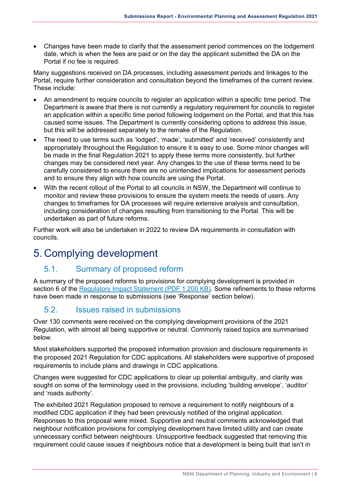• Changes have been made to clarify that the assessment period commences on the lodgement date, which is when the fees are paid or on the day the applicant submitted the DA on the Portal if no fee is required.

Many suggestions received on DA processes, including assessment periods and linkages to the Portal, require further consideration and consultation beyond the timeframes of the current review. These include:

- An amendment to require councils to register an application within a specific time period. The Department is aware that there is not currently a regulatory requirement for councils to register an application within a specific time period following lodgement on the Portal, and that this has caused some issues. The Department is currently considering options to address this issue, but this will be addressed separately to the remake of the Regulation.
- The need to use terms such as 'lodged', 'made', 'submitted' and 'received' consistently and appropriately throughout the Regulation to ensure it is easy to use. Some minor changes will be made in the final Regulation 2021 to apply these terms more consistently, but further changes may be considered next year. Any changes to the use of these terms need to be carefully considered to ensure there are no unintended implications for assessment periods and to ensure they align with how councils are using the Portal.
- With the recent rollout of the Portal to all councils in NSW, the Department will continue to monitor and review these provisions to ensure the system meets the needs of users. Any changes to timeframes for DA processes will require extensive analysis and consultation, including consideration of changes resulting from transitioning to the Portal. This will be undertaken as part of future reforms.

Further work will also be undertaken in 2022 to review DA requirements in consultation with councils.

# <span id="page-9-0"></span>5. Complying development

#### 5.1. Summary of proposed reform

A summary of the proposed reforms to provisions for complying development is provided in section 6 of the [Regulatory Impact Statement \(PDF 1,200 KB\).](https://www.planningportal.nsw.gov.au/sites/default/files/documents/2021/EP%26A%202021%20Regulatory%20Impact%20Statement%20(RIS).pdf) Some refinements to these reforms have been made in response to submissions (see 'Response' section below).

#### 5.2. Issues raised in submissions

Over 130 comments were received on the complying development provisions of the 2021 Regulation, with almost all being supportive or neutral. Commonly raised topics are summarised below.

Most stakeholders supported the proposed information provision and disclosure requirements in the proposed 2021 Regulation for CDC applications. All stakeholders were supportive of proposed requirements to include plans and drawings in CDC applications.

Changes were suggested for CDC applications to clear up potential ambiguity, and clarity was sought on some of the terminology used in the provisions, including 'building envelope', 'auditor' and 'roads authority'.

The exhibited 2021 Regulation proposed to remove a requirement to notify neighbours of a modified CDC application if they had been previously notified of the original application. Responses to this proposal were mixed. Supportive and neutral comments acknowledged that neighbour notification provisions for complying development have limited utility and can create unnecessary conflict between neighbours. Unsupportive feedback suggested that removing this requirement could cause issues if neighbours notice that a development is being built that isn't in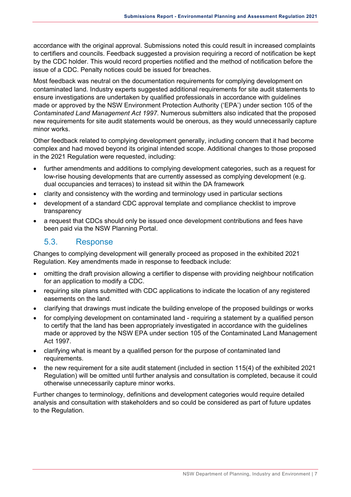accordance with the original approval. Submissions noted this could result in increased complaints to certifiers and councils. Feedback suggested a provision requiring a record of notification be kept by the CDC holder. This would record properties notified and the method of notification before the issue of a CDC. Penalty notices could be issued for breaches.

Most feedback was neutral on the documentation requirements for complying development on contaminated land. Industry experts suggested additional requirements for site audit statements to ensure investigations are undertaken by qualified professionals in accordance with guidelines made or approved by the NSW Environment Protection Authority ('EPA') under section 105 of the *Contaminated Land Management Act 1997*. Numerous submitters also indicated that the proposed new requirements for site audit statements would be onerous, as they would unnecessarily capture minor works.

Other feedback related to complying development generally, including concern that it had become complex and had moved beyond its original intended scope. Additional changes to those proposed in the 2021 Regulation were requested, including:

- further amendments and additions to complying development categories, such as a request for low-rise housing developments that are currently assessed as complying development (e.g. dual occupancies and terraces) to instead sit within the DA framework
- clarity and consistency with the wording and terminology used in particular sections
- development of a standard CDC approval template and compliance checklist to improve transparency
- a request that CDCs should only be issued once development contributions and fees have been paid via the NSW Planning Portal.

#### 5.3. Response

Changes to complying development will generally proceed as proposed in the exhibited 2021 Regulation. Key amendments made in response to feedback include:

- omitting the draft provision allowing a certifier to dispense with providing neighbour notification for an application to modify a CDC.
- requiring site plans submitted with CDC applications to indicate the location of any registered easements on the land.
- clarifying that drawings must indicate the building envelope of the proposed buildings or works
- for complying development on contaminated land requiring a statement by a qualified person to certify that the land has been appropriately investigated in accordance with the guidelines made or approved by the NSW EPA under section 105 of the Contaminated Land Management Act 1997.
- clarifying what is meant by a qualified person for the purpose of contaminated land requirements.
- the new requirement for a site audit statement (included in section 115(4) of the exhibited 2021 Regulation) will be omitted until further analysis and consultation is completed, because it could otherwise unnecessarily capture minor works.

Further changes to terminology, definitions and development categories would require detailed analysis and consultation with stakeholders and so could be considered as part of future updates to the Regulation.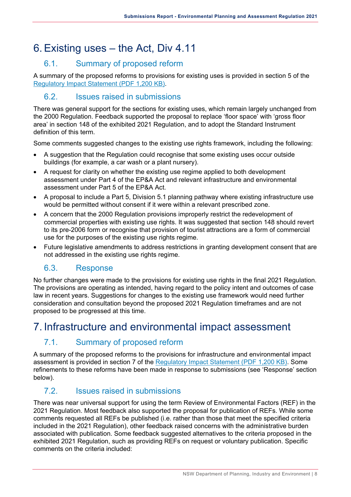# <span id="page-11-0"></span>6.Existing uses – the Act, Div 4.11

#### 6.1. Summary of proposed reform

A summary of the proposed reforms to provisions for existing uses is provided in section 5 of the [Regulatory Impact Statement \(PDF 1,200 KB\).](https://www.planningportal.nsw.gov.au/sites/default/files/documents/2021/EP%26A%202021%20Regulatory%20Impact%20Statement%20(RIS).pdf)

#### 6.2. Issues raised in submissions

There was general support for the sections for existing uses, which remain largely unchanged from the 2000 Regulation. Feedback supported the proposal to replace 'floor space' with 'gross floor area' in section 148 of the exhibited 2021 Regulation, and to adopt the Standard Instrument definition of this term.

Some comments suggested changes to the existing use rights framework, including the following:

- A suggestion that the Regulation could recognise that some existing uses occur outside buildings (for example, a car wash or a plant nursery).
- A request for clarity on whether the existing use regime applied to both development assessment under Part 4 of the EP&A Act and relevant infrastructure and environmental assessment under Part 5 of the EP&A Act.
- A proposal to include a Part 5, Division 5.1 planning pathway where existing infrastructure use would be permitted without consent if it were within a relevant prescribed zone.
- A concern that the 2000 Regulation provisions improperly restrict the redevelopment of commercial properties with existing use rights. It was suggested that section 148 should revert to its pre-2006 form or recognise that provision of tourist attractions are a form of commercial use for the purposes of the existing use rights regime.
- Future legislative amendments to address restrictions in granting development consent that are not addressed in the existing use rights regime.

#### 6.3. Response

No further changes were made to the provisions for existing use rights in the final 2021 Regulation. The provisions are operating as intended, having regard to the policy intent and outcomes of case law in recent years. Suggestions for changes to the existing use framework would need further consideration and consultation beyond the proposed 2021 Regulation timeframes and are not proposed to be progressed at this time.

### <span id="page-11-1"></span>7. Infrastructure and environmental impact assessment

#### 7.1. Summary of proposed reform

A summary of the proposed reforms to the provisions for infrastructure and environmental impact assessment is provided in section 7 of the [Regulatory Impact Statement \(PDF 1,200 KB\).](https://www.planningportal.nsw.gov.au/sites/default/files/documents/2021/EP%26A%202021%20Regulatory%20Impact%20Statement%20(RIS).pdf) Some refinements to these reforms have been made in response to submissions (see 'Response' section below).

#### 7.2. Issues raised in submissions

There was near universal support for using the term Review of Environmental Factors (REF) in the 2021 Regulation. Most feedback also supported the proposal for publication of REFs. While some comments requested all REFs be published (i.e. rather than those that meet the specified criteria included in the 2021 Regulation), other feedback raised concerns with the administrative burden associated with publication. Some feedback suggested alternatives to the criteria proposed in the exhibited 2021 Regulation, such as providing REFs on request or voluntary publication. Specific comments on the criteria included: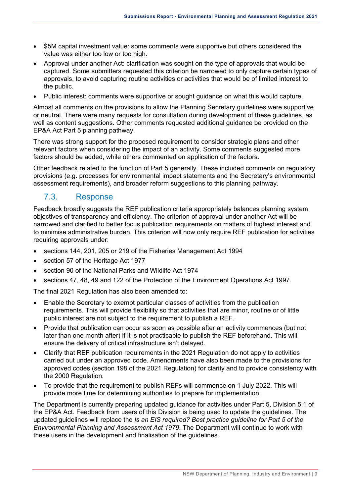- \$5M capital investment value: some comments were supportive but others considered the value was either too low or too high.
- Approval under another Act: clarification was sought on the type of approvals that would be captured. Some submitters requested this criterion be narrowed to only capture certain types of approvals, to avoid capturing routine activities or activities that would be of limited interest to the public.
- Public interest: comments were supportive or sought guidance on what this would capture.

Almost all comments on the provisions to allow the Planning Secretary guidelines were supportive or neutral. There were many requests for consultation during development of these guidelines, as well as content suggestions. Other comments requested additional guidance be provided on the EP&A Act Part 5 planning pathway.

There was strong support for the proposed requirement to consider strategic plans and other relevant factors when considering the impact of an activity. Some comments suggested more factors should be added, while others commented on application of the factors.

Other feedback related to the function of Part 5 generally. These included comments on regulatory provisions (e.g. processes for environmental impact statements and the Secretary's environmental assessment requirements), and broader reform suggestions to this planning pathway.

#### 7.3. Response

Feedback broadly suggests the REF publication criteria appropriately balances planning system objectives of transparency and efficiency. The criterion of approval under another Act will be narrowed and clarified to better focus publication requirements on matters of highest interest and to minimise administrative burden. This criterion will now only require REF publication for activities requiring approvals under:

- sections 144, 201, 205 or 219 of the Fisheries Management Act 1994
- section 57 of the Heritage Act 1977
- section 90 of the National Parks and Wildlife Act 1974
- sections 47, 48, 49 and 122 of the Protection of the Environment Operations Act 1997.

The final 2021 Regulation has also been amended to:

- Enable the Secretary to exempt particular classes of activities from the publication requirements. This will provide flexibility so that activities that are minor, routine or of little public interest are not subject to the requirement to publish a REF.
- Provide that publication can occur as soon as possible after an activity commences (but not later than one month after) if it is not practicable to publish the REF beforehand. This will ensure the delivery of critical infrastructure isn't delayed.
- Clarify that REF publication requirements in the 2021 Regulation do not apply to activities carried out under an approved code. Amendments have also been made to the provisions for approved codes (section 198 of the 2021 Regulation) for clarity and to provide consistency with the 2000 Regulation.
- To provide that the requirement to publish REFs will commence on 1 July 2022. This will provide more time for determining authorities to prepare for implementation.

The Department is currently preparing updated guidance for activities under Part 5, Division 5.1 of the EP&A Act. Feedback from users of this Division is being used to update the guidelines. The updated guidelines will replace the *Is an EIS required? Best practice guideline for Part 5 of the Environmental Planning and Assessment Act 1979*. The Department will continue to work with these users in the development and finalisation of the guidelines.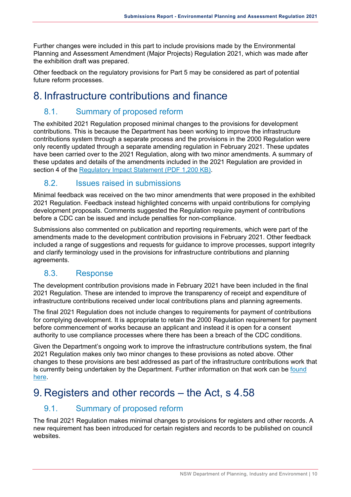Further changes were included in this part to include provisions made by the Environmental Planning and Assessment Amendment (Major Projects) Regulation 2021, which was made after the exhibition draft was prepared.

Other feedback on the regulatory provisions for Part 5 may be considered as part of potential future reform processes.

### <span id="page-13-0"></span>8. Infrastructure contributions and finance

#### 8.1. Summary of proposed reform

The exhibited 2021 Regulation proposed minimal changes to the provisions for development contributions. This is because the Department has been working to improve the infrastructure contributions system through a separate process and the provisions in the 2000 Regulation were only recently updated through a separate amending regulation in February 2021. These updates have been carried over to the 2021 Regulation, along with two minor amendments. A summary of these updates and details of the amendments included in the 2021 Regulation are provided in section 4 of the [Regulatory Impact Statement \(PDF 1,200 KB\).](https://www.planningportal.nsw.gov.au/sites/default/files/documents/2021/EP%26A%202021%20Regulatory%20Impact%20Statement%20(RIS).pdf)

#### 8.2. Issues raised in submissions

Minimal feedback was received on the two minor amendments that were proposed in the exhibited 2021 Regulation. Feedback instead highlighted concerns with unpaid contributions for complying development proposals. Comments suggested the Regulation require payment of contributions before a CDC can be issued and include penalties for non-compliance.

Submissions also commented on publication and reporting requirements, which were part of the amendments made to the development contribution provisions in February 2021. Other feedback included a range of suggestions and requests for guidance to improve processes, support integrity and clarify terminology used in the provisions for infrastructure contributions and planning agreements.

#### 8.3. Response

The development contribution provisions made in February 2021 have been included in the final 2021 Regulation. These are intended to improve the transparency of receipt and expenditure of infrastructure contributions received under local contributions plans and planning agreements.

The final 2021 Regulation does not include changes to requirements for payment of contributions for complying development. It is appropriate to retain the 2000 Regulation requirement for payment before commencement of works because an applicant and instead it is open for a consent authority to use compliance processes where there has been a breach of the CDC conditions.

Given the Department's ongoing work to improve the infrastructure contributions system, the final 2021 Regulation makes only two minor changes to these provisions as noted above. Other changes to these provisions are best addressed as part of the infrastructure contributions work that is currently being undertaken by the Department. Further information on that work can be [found](https://www.planning.nsw.gov.au/infrastructure-contributions-reform)  [here.](https://www.planning.nsw.gov.au/infrastructure-contributions-reform)

### <span id="page-13-1"></span>9. Registers and other records – the Act, s 4.58

#### 9.1. Summary of proposed reform

The final 2021 Regulation makes minimal changes to provisions for registers and other records. A new requirement has been introduced for certain registers and records to be published on council websites.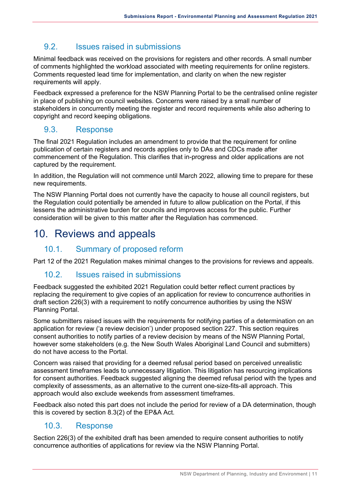#### 9.2. Issues raised in submissions

Minimal feedback was received on the provisions for registers and other records. A small number of comments highlighted the workload associated with meeting requirements for online registers. Comments requested lead time for implementation, and clarity on when the new register requirements will apply.

Feedback expressed a preference for the NSW Planning Portal to be the centralised online register in place of publishing on council websites. Concerns were raised by a small number of stakeholders in concurrently meeting the register and record requirements while also adhering to copyright and record keeping obligations.

#### 9.3. Response

The final 2021 Regulation includes an amendment to provide that the requirement for online publication of certain registers and records applies only to DAs and CDCs made after commencement of the Regulation. This clarifies that in-progress and older applications are not captured by the requirement.

In addition, the Regulation will not commence until March 2022, allowing time to prepare for these new requirements.

The NSW Planning Portal does not currently have the capacity to house all council registers, but the Regulation could potentially be amended in future to allow publication on the Portal, if this lessens the administrative burden for councils and improves access for the public. Further consideration will be given to this matter after the Regulation has commenced.

### <span id="page-14-0"></span>10. Reviews and appeals

#### 10.1. Summary of proposed reform

Part 12 of the 2021 Regulation makes minimal changes to the provisions for reviews and appeals.

#### 10.2. Issues raised in submissions

Feedback suggested the exhibited 2021 Regulation could better reflect current practices by replacing the requirement to give copies of an application for review to concurrence authorities in draft section 226(3) with a requirement to notify concurrence authorities by using the NSW Planning Portal.

Some submitters raised issues with the requirements for notifying parties of a determination on an application for review ('a review decision') under proposed section 227. This section requires consent authorities to notify parties of a review decision by means of the NSW Planning Portal, however some stakeholders (e.g. the New South Wales Aboriginal Land Council and submitters) do not have access to the Portal.

Concern was raised that providing for a deemed refusal period based on perceived unrealistic assessment timeframes leads to unnecessary litigation. This litigation has resourcing implications for consent authorities. Feedback suggested aligning the deemed refusal period with the types and complexity of assessments, as an alternative to the current one-size-fits-all approach. This approach would also exclude weekends from assessment timeframes.

Feedback also noted this part does not include the period for review of a DA determination, though this is covered by section 8.3(2) of the EP&A Act.

#### 10.3. Response

Section 226(3) of the exhibited draft has been amended to require consent authorities to notify concurrence authorities of applications for review via the NSW Planning Portal.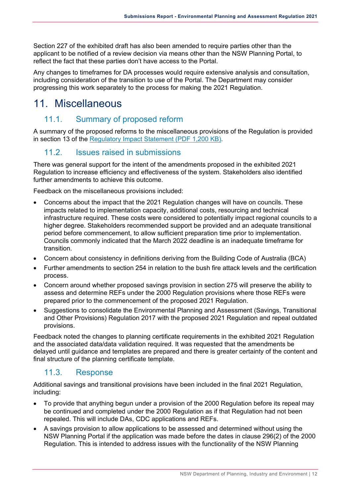Section 227 of the exhibited draft has also been amended to require parties other than the applicant to be notified of a review decision via means other than the NSW Planning Portal, to reflect the fact that these parties don't have access to the Portal.

Any changes to timeframes for DA processes would require extensive analysis and consultation, including consideration of the transition to use of the Portal. The Department may consider progressing this work separately to the process for making the 2021 Regulation.

### <span id="page-15-0"></span>11. Miscellaneous

#### 11.1. Summary of proposed reform

A summary of the proposed reforms to the miscellaneous provisions of the Regulation is provided in section 13 of the [Regulatory Impact Statement \(PDF 1,200 KB\).](https://www.planningportal.nsw.gov.au/sites/default/files/documents/2021/EP%26A%202021%20Regulatory%20Impact%20Statement%20(RIS).pdf)

#### 11.2. Issues raised in submissions

There was general support for the intent of the amendments proposed in the exhibited 2021 Regulation to increase efficiency and effectiveness of the system. Stakeholders also identified further amendments to achieve this outcome.

Feedback on the miscellaneous provisions included:

- Concerns about the impact that the 2021 Regulation changes will have on councils. These impacts related to implementation capacity, additional costs, resourcing and technical infrastructure required. These costs were considered to potentially impact regional councils to a higher degree. Stakeholders recommended support be provided and an adequate transitional period before commencement, to allow sufficient preparation time prior to implementation. Councils commonly indicated that the March 2022 deadline is an inadequate timeframe for transition.
- Concern about consistency in definitions deriving from the Building Code of Australia (BCA)
- Further amendments to section 254 in relation to the bush fire attack levels and the certification process.
- Concern around whether proposed savings provision in section 275 will preserve the ability to assess and determine REFs under the 2000 Regulation provisions where those REFs were prepared prior to the commencement of the proposed 2021 Regulation.
- Suggestions to consolidate the Environmental Planning and Assessment (Savings, Transitional and Other Provisions) Regulation 2017 with the proposed 2021 Regulation and repeal outdated provisions.

Feedback noted the changes to planning certificate requirements in the exhibited 2021 Regulation and the associated data/data validation required. It was requested that the amendments be delayed until guidance and templates are prepared and there is greater certainty of the content and final structure of the planning certificate template.

#### 11.3. Response

Additional savings and transitional provisions have been included in the final 2021 Regulation, including:

- To provide that anything begun under a provision of the 2000 Regulation before its repeal may be continued and completed under the 2000 Regulation as if that Regulation had not been repealed. This will include DAs, CDC applications and REFs.
- A savings provision to allow applications to be assessed and determined without using the NSW Planning Portal if the application was made before the dates in clause 296(2) of the 2000 Regulation. This is intended to address issues with the functionality of the NSW Planning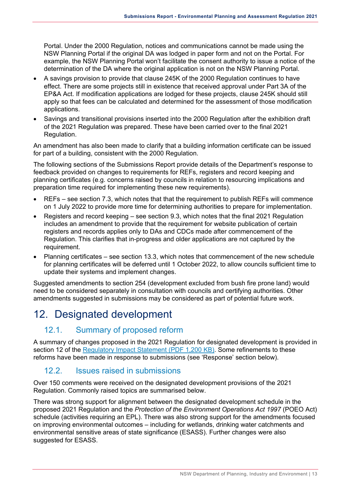Portal. Under the 2000 Regulation, notices and communications cannot be made using the NSW Planning Portal if the original DA was lodged in paper form and not on the Portal. For example, the NSW Planning Portal won't facilitate the consent authority to issue a notice of the determination of the DA where the original application is not on the NSW Planning Portal.

- A savings provision to provide that clause 245K of the 2000 Regulation continues to have effect. There are some projects still in existence that received approval under Part 3A of the EP&A Act. If modification applications are lodged for these projects, clause 245K should still apply so that fees can be calculated and determined for the assessment of those modification applications.
- Savings and transitional provisions inserted into the 2000 Regulation after the exhibition draft of the 2021 Regulation was prepared. These have been carried over to the final 2021 Regulation.

An amendment has also been made to clarify that a building information certificate can be issued for part of a building, consistent with the 2000 Regulation.

The following sections of the Submissions Report provide details of the Department's response to feedback provided on changes to requirements for REFs, registers and record keeping and planning certificates (e.g. concerns raised by councils in relation to resourcing implications and preparation time required for implementing these new requirements).

- REFs see section 7.3, which notes that that the requirement to publish REFs will commence on 1 July 2022 to provide more time for determining authorities to prepare for implementation.
- Registers and record keeping see section 9.3, which notes that the final 2021 Regulation includes an amendment to provide that the requirement for website publication of certain registers and records applies only to DAs and CDCs made after commencement of the Regulation. This clarifies that in-progress and older applications are not captured by the requirement.
- Planning certificates see section 13.3, which notes that commencement of the new schedule for planning certificates will be deferred until 1 October 2022, to allow councils sufficient time to update their systems and implement changes.

Suggested amendments to section 254 (development excluded from bush fire prone land) would need to be considered separately in consultation with councils and certifying authorities. Other amendments suggested in submissions may be considered as part of potential future work.

# <span id="page-16-0"></span>12. Designated development

#### 12.1. Summary of proposed reform

A summary of changes proposed in the 2021 Regulation for designated development is provided in section 12 of the [Regulatory Impact Statement \(PDF 1,200 KB\).](https://www.planningportal.nsw.gov.au/sites/default/files/documents/2021/EP%26A%202021%20Regulatory%20Impact%20Statement%20(RIS).pdf) Some refinements to these reforms have been made in response to submissions (see 'Response' section below).

#### 12.2. Issues raised in submissions

Over 150 comments were received on the designated development provisions of the 2021 Regulation. Commonly raised topics are summarised below.

There was strong support for alignment between the designated development schedule in the proposed 2021 Regulation and the *Protection of the Environment Operations Act 1997* (POEO Act) schedule (activities requiring an EPL). There was also strong support for the amendments focused on improving environmental outcomes – including for wetlands, drinking water catchments and environmental sensitive areas of state significance (ESASS). Further changes were also suggested for ESASS.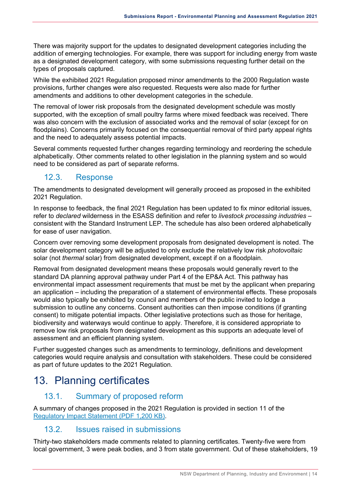There was majority support for the updates to designated development categories including the addition of emerging technologies. For example, there was support for including energy from waste as a designated development category, with some submissions requesting further detail on the types of proposals captured.

While the exhibited 2021 Regulation proposed minor amendments to the 2000 Regulation waste provisions, further changes were also requested. Requests were also made for further amendments and additions to other development categories in the schedule.

The removal of lower risk proposals from the designated development schedule was mostly supported, with the exception of small poultry farms where mixed feedback was received. There was also concern with the exclusion of associated works and the removal of solar (except for on floodplains). Concerns primarily focused on the consequential removal of third party appeal rights and the need to adequately assess potential impacts.

Several comments requested further changes regarding terminology and reordering the schedule alphabetically. Other comments related to other legislation in the planning system and so would need to be considered as part of separate reforms.

#### 12.3. Response

The amendments to designated development will generally proceed as proposed in the exhibited 2021 Regulation.

In response to feedback, the final 2021 Regulation has been updated to fix minor editorial issues, refer to *declared* wilderness in the ESASS definition and refer to *livestock processing industries* – consistent with the Standard Instrument LEP. The schedule has also been ordered alphabetically for ease of user navigation.

Concern over removing some development proposals from designated development is noted. The solar development category will be adjusted to only exclude the relatively low risk *photovoltaic*  solar (not *thermal* solar) from designated development, except if on a floodplain.

Removal from designated development means these proposals would generally revert to the standard DA planning approval pathway under Part 4 of the EP&A Act. This pathway has environmental impact assessment requirements that must be met by the applicant when preparing an application – including the preparation of a statement of environmental effects. These proposals would also typically be exhibited by council and members of the public invited to lodge a submission to outline any concerns. Consent authorities can then impose conditions (if granting consent) to mitigate potential impacts. Other legislative protections such as those for heritage, biodiversity and waterways would continue to apply. Therefore, it is considered appropriate to remove low risk proposals from designated development as this supports an adequate level of assessment and an efficient planning system.

Further suggested changes such as amendments to terminology, definitions and development categories would require analysis and consultation with stakeholders. These could be considered as part of future updates to the 2021 Regulation.

### <span id="page-17-0"></span>13. Planning certificates

#### 13.1. Summary of proposed reform

A summary of changes proposed in the 2021 Regulation is provided in section 11 of the [Regulatory Impact Statement \(PDF 1,200 KB\).](https://www.planningportal.nsw.gov.au/sites/default/files/documents/2021/EP%26A%202021%20Regulatory%20Impact%20Statement%20(RIS).pdf)

#### 13.2. Issues raised in submissions

Thirty-two stakeholders made comments related to planning certificates. Twenty-five were from local government, 3 were peak bodies, and 3 from state government. Out of these stakeholders, 19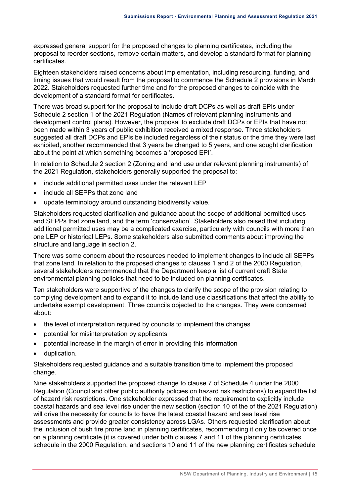expressed general support for the proposed changes to planning certificates, including the proposal to reorder sections, remove certain matters, and develop a standard format for planning certificates.

Eighteen stakeholders raised concerns about implementation, including resourcing, funding, and timing issues that would result from the proposal to commence the Schedule 2 provisions in March 2022. Stakeholders requested further time and for the proposed changes to coincide with the development of a standard format for certificates.

There was broad support for the proposal to include draft DCPs as well as draft EPIs under Schedule 2 section 1 of the 2021 Regulation (Names of relevant planning instruments and development control plans). However, the proposal to exclude draft DCPs or EPIs that have not been made within 3 years of public exhibition received a mixed response. Three stakeholders suggested all draft DCPs and EPIs be included regardless of their status or the time they were last exhibited, another recommended that 3 years be changed to 5 years, and one sought clarification about the point at which something becomes a 'proposed EPI'.

In relation to Schedule 2 section 2 (Zoning and land use under relevant planning instruments) of the 2021 Regulation, stakeholders generally supported the proposal to:

- include additional permitted uses under the relevant LEP
- include all SEPPs that zone land
- update terminology around outstanding biodiversity value.

Stakeholders requested clarification and guidance about the scope of additional permitted uses and SEPPs that zone land, and the term 'conservation'. Stakeholders also raised that including additional permitted uses may be a complicated exercise, particularly with councils with more than one LEP or historical LEPs. Some stakeholders also submitted comments about improving the structure and language in section 2.

There was some concern about the resources needed to implement changes to include all SEPPs that zone land. In relation to the proposed changes to clauses 1 and 2 of the 2000 Regulation, several stakeholders recommended that the Department keep a list of current draft State environmental planning policies that need to be included on planning certificates.

Ten stakeholders were supportive of the changes to clarify the scope of the provision relating to complying development and to expand it to include land use classifications that affect the ability to undertake exempt development. Three councils objected to the changes. They were concerned about:

- the level of interpretation required by councils to implement the changes
- potential for misinterpretation by applicants
- potential increase in the margin of error in providing this information
- duplication.

Stakeholders requested guidance and a suitable transition time to implement the proposed change.

Nine stakeholders supported the proposed change to clause 7 of Schedule 4 under the 2000 Regulation (Council and other public authority policies on hazard risk restrictions) to expand the list of hazard risk restrictions. One stakeholder expressed that the requirement to explicitly include coastal hazards and sea level rise under the new section (section 10 of the of the 2021 Regulation) will drive the necessity for councils to have the latest coastal hazard and sea level rise assessments and provide greater consistency across LGAs. Others requested clarification about the inclusion of bush fire prone land in planning certificates, recommending it only be covered once on a planning certificate (it is covered under both clauses 7 and 11 of the planning certificates schedule in the 2000 Regulation, and sections 10 and 11 of the new planning certificates schedule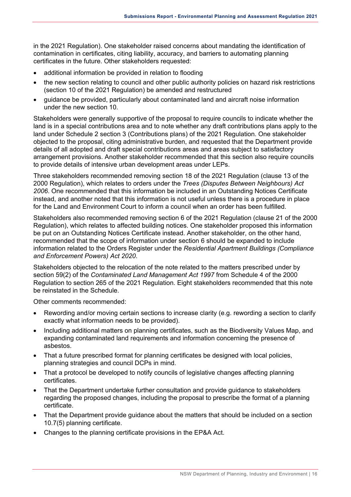in the 2021 Regulation). One stakeholder raised concerns about mandating the identification of contamination in certificates, citing liability, accuracy, and barriers to automating planning certificates in the future. Other stakeholders requested:

- additional information be provided in relation to flooding
- the new section relating to council and other public authority policies on hazard risk restrictions (section 10 of the 2021 Regulation) be amended and restructured
- guidance be provided, particularly about contaminated land and aircraft noise information under the new section 10.

Stakeholders were generally supportive of the proposal to require councils to indicate whether the land is in a special contributions area and to note whether any draft contributions plans apply to the land under Schedule 2 section 3 (Contributions plans) of the 2021 Regulation. One stakeholder objected to the proposal, citing administrative burden, and requested that the Department provide details of all adopted and draft special contributions areas and areas subject to satisfactory arrangement provisions. Another stakeholder recommended that this section also require councils to provide details of intensive urban development areas under LEPs.

Three stakeholders recommended removing section 18 of the 2021 Regulation (clause 13 of the 2000 Regulation), which relates to orders under the *Trees (Disputes Between Neighbours) Act 2006*. One recommended that this information be included in an Outstanding Notices Certificate instead, and another noted that this information is not useful unless there is a procedure in place for the Land and Environment Court to inform a council when an order has been fulfilled.

Stakeholders also recommended removing section 6 of the 2021 Regulation (clause 21 of the 2000 Regulation), which relates to affected building notices. One stakeholder proposed this information be put on an Outstanding Notices Certificate instead. Another stakeholder, on the other hand, recommended that the scope of information under section 6 should be expanded to include information related to the Orders Register under the *Residential Apartment Buildings (Compliance and Enforcement Powers) Act 2020*.

Stakeholders objected to the relocation of the note related to the matters prescribed under by section 59(2) of the *Contaminated Land Management Act 1997* from Schedule 4 of the 2000 Regulation to section 265 of the 2021 Regulation. Eight stakeholders recommended that this note be reinstated in the Schedule.

Other comments recommended:

- Rewording and/or moving certain sections to increase clarity (e.g. rewording a section to clarify exactly what information needs to be provided).
- Including additional matters on planning certificates, such as the Biodiversity Values Map, and expanding contaminated land requirements and information concerning the presence of asbestos.
- That a future prescribed format for planning certificates be designed with local policies, planning strategies and council DCPs in mind.
- That a protocol be developed to notify councils of legislative changes affecting planning certificates.
- That the Department undertake further consultation and provide guidance to stakeholders regarding the proposed changes, including the proposal to prescribe the format of a planning certificate.
- That the Department provide guidance about the matters that should be included on a section 10.7(5) planning certificate.
- Changes to the planning certificate provisions in the EP&A Act.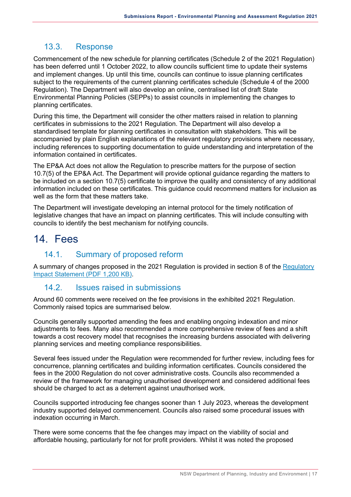#### 13.3. Response

Commencement of the new schedule for planning certificates (Schedule 2 of the 2021 Regulation) has been deferred until 1 October 2022, to allow councils sufficient time to update their systems and implement changes. Up until this time, councils can continue to issue planning certificates subject to the requirements of the current planning certificates schedule (Schedule 4 of the 2000 Regulation). The Department will also develop an online, centralised list of draft State Environmental Planning Policies (SEPPs) to assist councils in implementing the changes to planning certificates.

During this time, the Department will consider the other matters raised in relation to planning certificates in submissions to the 2021 Regulation. The Department will also develop a standardised template for planning certificates in consultation with stakeholders. This will be accompanied by plain English explanations of the relevant regulatory provisions where necessary, including references to supporting documentation to guide understanding and interpretation of the information contained in certificates.

The EP&A Act does not allow the Regulation to prescribe matters for the purpose of section 10.7(5) of the EP&A Act. The Department will provide optional guidance regarding the matters to be included on a section 10.7(5) certificate to improve the quality and consistency of any additional information included on these certificates. This guidance could recommend matters for inclusion as well as the form that these matters take.

The Department will investigate developing an internal protocol for the timely notification of legislative changes that have an impact on planning certificates. This will include consulting with councils to identify the best mechanism for notifying councils.

### <span id="page-20-0"></span>14. Fees

#### 14.1. Summary of proposed reform

A summary of changes proposed in the 2021 Regulation is provided in section 8 of the [Regulatory](https://www.planningportal.nsw.gov.au/sites/default/files/documents/2021/EP%26A%202021%20Regulatory%20Impact%20Statement%20(RIS).pdf)  [Impact Statement \(PDF 1,200 KB\).](https://www.planningportal.nsw.gov.au/sites/default/files/documents/2021/EP%26A%202021%20Regulatory%20Impact%20Statement%20(RIS).pdf)

#### 14.2. Issues raised in submissions

Around 60 comments were received on the fee provisions in the exhibited 2021 Regulation. Commonly raised topics are summarised below.

Councils generally supported amending the fees and enabling ongoing indexation and minor adjustments to fees. Many also recommended a more comprehensive review of fees and a shift towards a cost recovery model that recognises the increasing burdens associated with delivering planning services and meeting compliance responsibilities.

Several fees issued under the Regulation were recommended for further review, including fees for concurrence, planning certificates and building information certificates. Councils considered the fees in the 2000 Regulation do not cover administrative costs. Councils also recommended a review of the framework for managing unauthorised development and considered additional fees should be charged to act as a deterrent against unauthorised work.

Councils supported introducing fee changes sooner than 1 July 2023, whereas the development industry supported delayed commencement. Councils also raised some procedural issues with indexation occurring in March.

There were some concerns that the fee changes may impact on the viability of social and affordable housing, particularly for not for profit providers. Whilst it was noted the proposed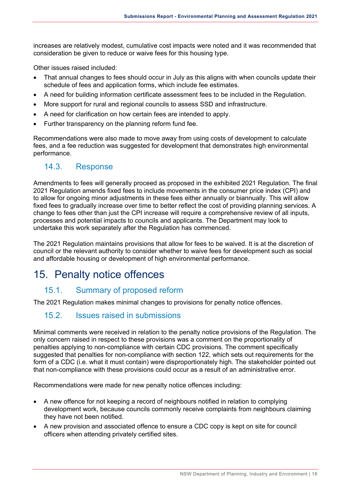increases are relatively modest, cumulative cost impacts were noted and it was recommended that consideration be given to reduce or waive fees for this housing type.

Other issues raised included:

- That annual changes to fees should occur in July as this aligns with when councils update their schedule of fees and application forms, which include fee estimates.
- A need for building information certificate assessment fees to be included in the Regulation.
- More support for rural and regional councils to assess SSD and infrastructure.
- A need for clarification on how certain fees are intended to apply.
- Further transparency on the planning reform fund fee.

Recommendations were also made to move away from using costs of development to calculate fees, and a fee reduction was suggested for development that demonstrates high environmental performance.

#### 14.3. Response

Amendments to fees will generally proceed as proposed in the exhibited 2021 Regulation. The final 2021 Regulation amends fixed fees to include movements in the consumer price index (CPI) and to allow for ongoing minor adjustments in these fees either annually or biannually. This will allow fixed fees to gradually increase over time to better reflect the cost of providing planning services. A change to fees other than just the CPI increase will require a comprehensive review of all inputs, processes and potential impacts to councils and applicants. The Department may look to undertake this work separately after the Regulation has commenced.

The 2021 Regulation maintains provisions that allow for fees to be waived. It is at the discretion of council or the relevant authority to consider whether to waive fees for development such as social and affordable housing or development of high environmental performance.

### <span id="page-21-0"></span>15. Penalty notice offences

#### 15.1. Summary of proposed reform

The 2021 Regulation makes minimal changes to provisions for penalty notice offences.

#### 15.2. Issues raised in submissions

Minimal comments were received in relation to the penalty notice provisions of the Regulation. The only concern raised in respect to these provisions was a comment on the proportionality of penalties applying to non-compliance with certain CDC provisions. The comment specifically suggested that penalties for non-compliance with section 122, which sets out requirements for the form of a CDC (i.e. what it must contain) were disproportionately high. The stakeholder pointed out that non-compliance with these provisions could occur as a result of an administrative error.

Recommendations were made for new penalty notice offences including:

- A new offence for not keeping a record of neighbours notified in relation to complying development work, because councils commonly receive complaints from neighbours claiming they have not been notified.
- A new provision and associated offence to ensure a CDC copy is kept on site for council officers when attending privately certified sites.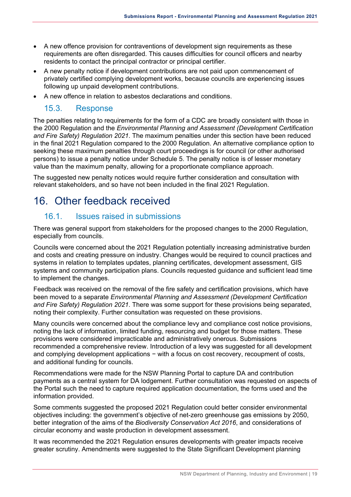- A new offence provision for contraventions of development sign requirements as these requirements are often disregarded. This causes difficulties for council officers and nearby residents to contact the principal contractor or principal certifier.
- A new penalty notice if development contributions are not paid upon commencement of privately certified complying development works, because councils are experiencing issues following up unpaid development contributions.
- A new offence in relation to asbestos declarations and conditions.

#### 15.3. Response

The penalties relating to requirements for the form of a CDC are broadly consistent with those in the 2000 Regulation and the *Environmental Planning and Assessment (Development Certification and Fire Safety) Regulation 2021*. The maximum penalties under this section have been reduced in the final 2021 Regulation compared to the 2000 Regulation. An alternative compliance option to seeking these maximum penalties through court proceedings is for council (or other authorised persons) to issue a penalty notice under Schedule 5. The penalty notice is of lesser monetary value than the maximum penalty, allowing for a proportionate compliance approach.

The suggested new penalty notices would require further consideration and consultation with relevant stakeholders, and so have not been included in the final 2021 Regulation.

# <span id="page-22-0"></span>16. Other feedback received

#### 16.1. Issues raised in submissions

There was general support from stakeholders for the proposed changes to the 2000 Regulation, especially from councils.

Councils were concerned about the 2021 Regulation potentially increasing administrative burden and costs and creating pressure on industry. Changes would be required to council practices and systems in relation to templates updates, planning certificates, development assessment, GIS systems and community participation plans. Councils requested guidance and sufficient lead time to implement the changes.

Feedback was received on the removal of the fire safety and certification provisions, which have been moved to a separate *Environmental Planning and Assessment (Development Certification and Fire Safety) Regulation 2021*. There was some support for these provisions being separated, noting their complexity. Further consultation was requested on these provisions.

Many councils were concerned about the compliance levy and compliance cost notice provisions, noting the lack of information, limited funding, resourcing and budget for those matters. These provisions were considered impracticable and administratively onerous. Submissions recommended a comprehensive review. Introduction of a levy was suggested for all development and complying development applications − with a focus on cost recovery, recoupment of costs, and additional funding for councils.

Recommendations were made for the NSW Planning Portal to capture DA and contribution payments as a central system for DA lodgement. Further consultation was requested on aspects of the Portal such the need to capture required application documentation, the forms used and the information provided.

Some comments suggested the proposed 2021 Regulation could better consider environmental objectives including: the government's objective of net-zero greenhouse gas emissions by 2050, better integration of the aims of the *Biodiversity Conservation Act 2016*, and considerations of circular economy and waste production in development assessment.

It was recommended the 2021 Regulation ensures developments with greater impacts receive greater scrutiny. Amendments were suggested to the State Significant Development planning